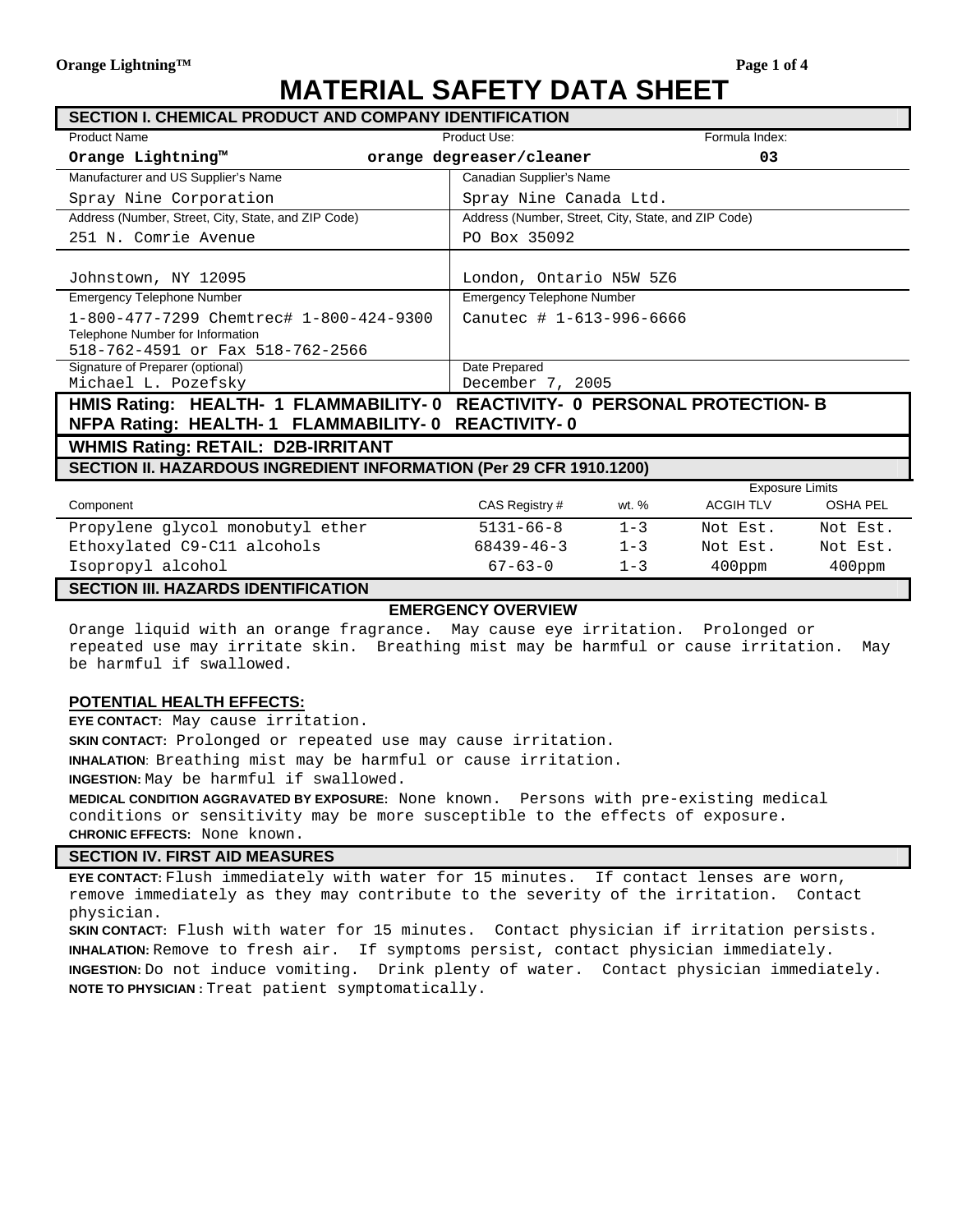# **MATERIAL SAFETY DATA SHEET**

| <b>SECTION I. CHEMICAL PRODUCT AND COMPANY IDENTIFICATION</b>               |                                                     |         |                        |                 |
|-----------------------------------------------------------------------------|-----------------------------------------------------|---------|------------------------|-----------------|
| <b>Product Name</b>                                                         | Product Use:                                        |         | Formula Index:         |                 |
| Orange Lightning™                                                           | orange degreaser/cleaner                            |         | 03                     |                 |
| Manufacturer and US Supplier's Name                                         | Canadian Supplier's Name                            |         |                        |                 |
| Spray Nine Corporation                                                      | Spray Nine Canada Ltd.                              |         |                        |                 |
| Address (Number, Street, City, State, and ZIP Code)                         | Address (Number, Street, City, State, and ZIP Code) |         |                        |                 |
| 251 N. Comrie Avenue                                                        | PO Box 35092                                        |         |                        |                 |
|                                                                             |                                                     |         |                        |                 |
| Johnstown, NY 12095                                                         | London, Ontario N5W 526                             |         |                        |                 |
| <b>Emergency Telephone Number</b>                                           | <b>Emergency Telephone Number</b>                   |         |                        |                 |
| 1-800-477-7299 Chemtrec# 1-800-424-9300                                     | Canutec # 1-613-996-6666                            |         |                        |                 |
| Telephone Number for Information                                            |                                                     |         |                        |                 |
| 518-762-4591 or Fax 518-762-2566                                            |                                                     |         |                        |                 |
| Signature of Preparer (optional)                                            | Date Prepared                                       |         |                        |                 |
| Michael L. Pozefsky                                                         | December 7, 2005                                    |         |                        |                 |
| HMIS Rating: HEALTH- 1 FLAMMABILITY- 0 REACTIVITY- 0 PERSONAL PROTECTION- B |                                                     |         |                        |                 |
| NFPA Rating: HEALTH-1 FLAMMABILITY-0 REACTIVITY-0                           |                                                     |         |                        |                 |
| <b>WHMIS Rating: RETAIL: D2B-IRRITANT</b>                                   |                                                     |         |                        |                 |
| SECTION II. HAZARDOUS INGREDIENT INFORMATION (Per 29 CFR 1910.1200)         |                                                     |         |                        |                 |
|                                                                             |                                                     |         | <b>Exposure Limits</b> |                 |
| Component                                                                   | CAS Registry #                                      | wt. %   | <b>ACGIH TLV</b>       | <b>OSHA PEL</b> |
| Propylene glycol monobutyl ether                                            | $5131 - 66 - 8$                                     | $1 - 3$ | Not Est.               | Not Est.        |
| Ethoxylated C9-C11 alcohols                                                 | $68439 - 46 - 3$                                    | $1 - 3$ | Not Est.               | Not Est.        |
| Isopropyl alcohol                                                           | $67 - 63 - 0$                                       | $1 - 3$ | $400$ ppm              | 400ppm          |

#### **SECTION III. HAZARDS IDENTIFICATION**

#### **EMERGENCY OVERVIEW**

Orange liquid with an orange fragrance. May cause eye irritation. Prolonged or repeated use may irritate skin. Breathing mist may be harmful or cause irritation. May be harmful if swallowed.

#### **POTENTIAL HEALTH EFFECTS:**

**EYE CONTACT:** May cause irritation.

**SKIN CONTACT:** Prolonged or repeated use may cause irritation.

**INHALATION**: Breathing mist may be harmful or cause irritation.

**INGESTION:** May be harmful if swallowed.

**MEDICAL CONDITION AGGRAVATED BY EXPOSURE:** None known. Persons with pre-existing medical conditions or sensitivity may be more susceptible to the effects of exposure. **CHRONIC EFFECTS:** None known.

#### **SECTION IV. FIRST AID MEASURES**

**EYE CONTACT:** Flush immediately with water for 15 minutes. If contact lenses are worn, remove immediately as they may contribute to the severity of the irritation. Contact physician.

**SKIN CONTACT:** Flush with water for 15 minutes. Contact physician if irritation persists. **INHALATION:** Remove to fresh air. If symptoms persist, contact physician immediately. **INGESTION:** Do not induce vomiting. Drink plenty of water. Contact physician immediately. **NOTE TO PHYSICIAN :** Treat patient symptomatically.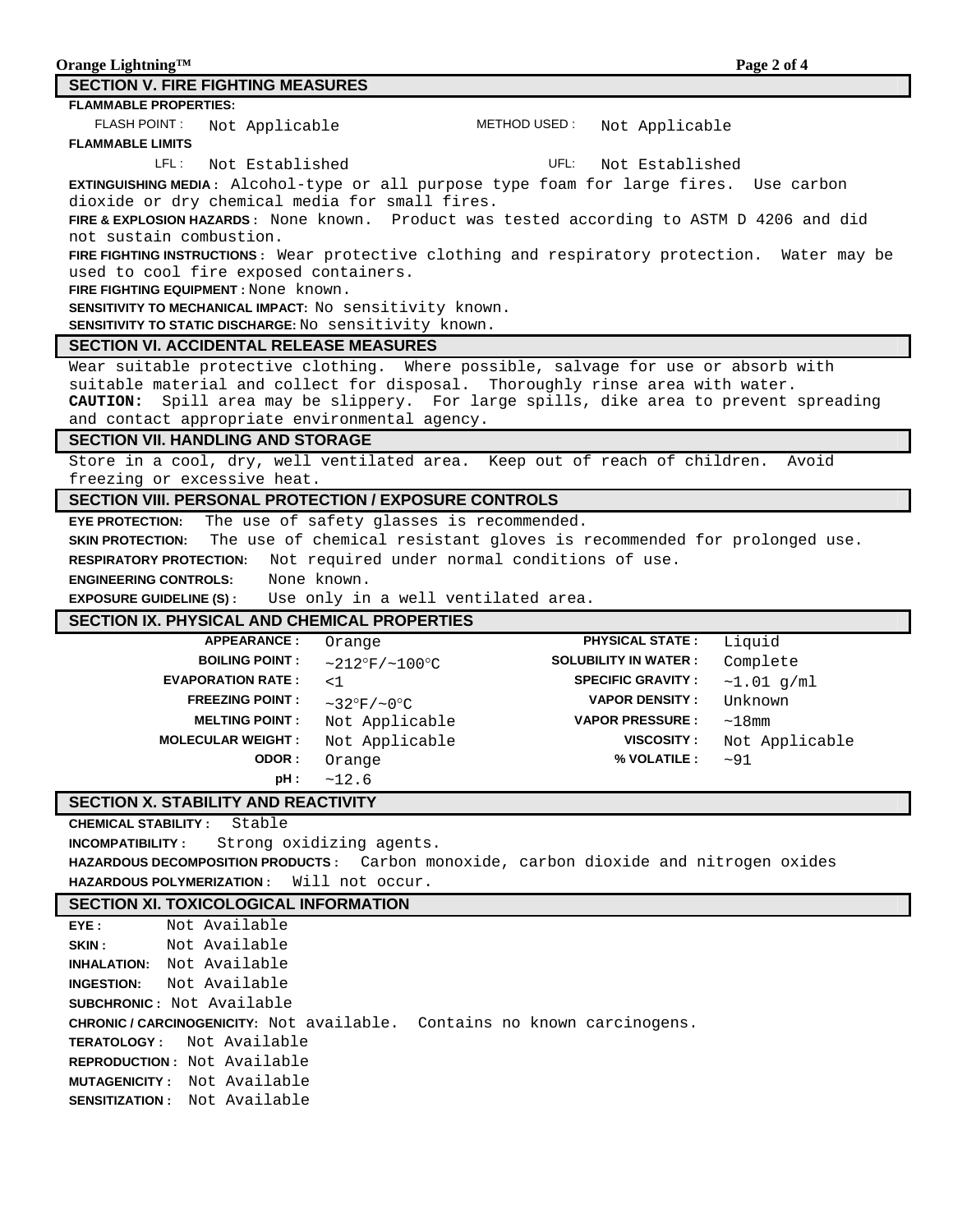| Orange Lightning <sup>TM</sup>    | Page 2 of 4 |
|-----------------------------------|-------------|
| SECTION V. FIRE FIGHTING MEASURES |             |

#### **FLAMMABLE PROPERTIES:**

FLASH POINT: Not Applicable METHOD USED: Not Applicable **FLAMMABLE LIMITS**

LFL: Not Established **UFL:** Not Established

**EXTINGUISHING MEDIA :** Alcohol-type or all purpose type foam for large fires. Use carbon dioxide or dry chemical media for small fires.

**FIRE & EXPLOSION HAZARDS :** None known. Product was tested according to ASTM D 4206 and did not sustain combustion.

**FIRE FIGHTING INSTRUCTIONS :** Wear protective clothing and respiratory protection. Water may be used to cool fire exposed containers.

**FIRE FIGHTING EQUIPMENT :** None known.

**SENSITIVITY TO MECHANICAL IMPACT:** No sensitivity known.

**SENSITIVITY TO STATIC DISCHARGE:** No sensitivity known.

#### **SECTION VI. ACCIDENTAL RELEASE MEASURES**

Wear suitable protective clothing. Where possible, salvage for use or absorb with suitable material and collect for disposal. Thoroughly rinse area with water. **CAUTION:** Spill area may be slippery. For large spills, dike area to prevent spreading and contact appropriate environmental agency.

#### **SECTION VII. HANDLING AND STORAGE**

Store in a cool, dry, well ventilated area. Keep out of reach of children. Avoid freezing or excessive heat.

# **SECTION VIII. PERSONAL PROTECTION / EXPOSURE CONTROLS**

**EYE PROTECTION:** The use of safety glasses is recommended.

**SKIN PROTECTION:** The use of chemical resistant gloves is recommended for prolonged use.

**RESPIRATORY PROTECTION:** Not required under normal conditions of use.

**ENGINEERING CONTROLS:** None known.

**EXPOSURE GUIDELINE (S) :** Use only in a well ventilated area.

## **SECTION IX. PHYSICAL AND CHEMICAL PROPERTIES**

| <b>APPEARANCE:</b>       | Orange                  | <b>PHYSICAL STATE:</b>      | Liquid         |
|--------------------------|-------------------------|-----------------------------|----------------|
| <b>BOILING POINT:</b>    | $~212^{\circ}$ F/~100°C | <b>SOLUBILITY IN WATER:</b> | Complete       |
| <b>EVAPORATION RATE:</b> | $<$ 1                   | <b>SPECIFIC GRAVITY:</b>    | ~1.01~q/ml     |
| <b>FREEZING POINT:</b>   | $\sim$ 32°F/~0°C        | <b>VAPOR DENSITY:</b>       | Unknown        |
| <b>MELTING POINT:</b>    | Not Applicable          | <b>VAPOR PRESSURE:</b>      | $\sim$ 1 8 mm  |
| <b>MOLECULAR WEIGHT:</b> | Not Applicable          | VISCOSITY:                  | Not Applicable |
| ODOR:                    | Orange                  | % VOLATILE :                | ~100           |
| pH:                      | ~12.6                   |                             |                |

## **SECTION X. STABILITY AND REACTIVITY**

**CHEMICAL STABILITY :** Stable

**INCOMPATIBILITY :** Strong oxidizing agents. **HAZARDOUS DECOMPOSITION PRODUCTS :** Carbon monoxide, carbon dioxide and nitrogen oxides **HAZARDOUS POLYMERIZATION :** Will not occur.

## **SECTION XI. TOXICOLOGICAL INFORMATION**

| EYE: | Not Available                                                                 |
|------|-------------------------------------------------------------------------------|
|      | <b>SKIN:</b> Not Available                                                    |
|      | <b>INHALATION:</b> Not Available                                              |
|      | <b>INGESTION:</b> Not Available                                               |
|      | <b>SUBCHRONIC:</b> Not Available                                              |
|      | <b>CHRONIC/CARCINOGENICITY:</b> Not available. Contains no known carcinogens. |
|      | <b>TERATOLOGY:</b> Not Available                                              |
|      | <b>REPRODUCTION:</b> Not Available                                            |
|      | <b>MUTAGENICITY:</b> Not Available                                            |
|      |                                                                               |
|      | <b>SENSITIZATION:</b> Not Available                                           |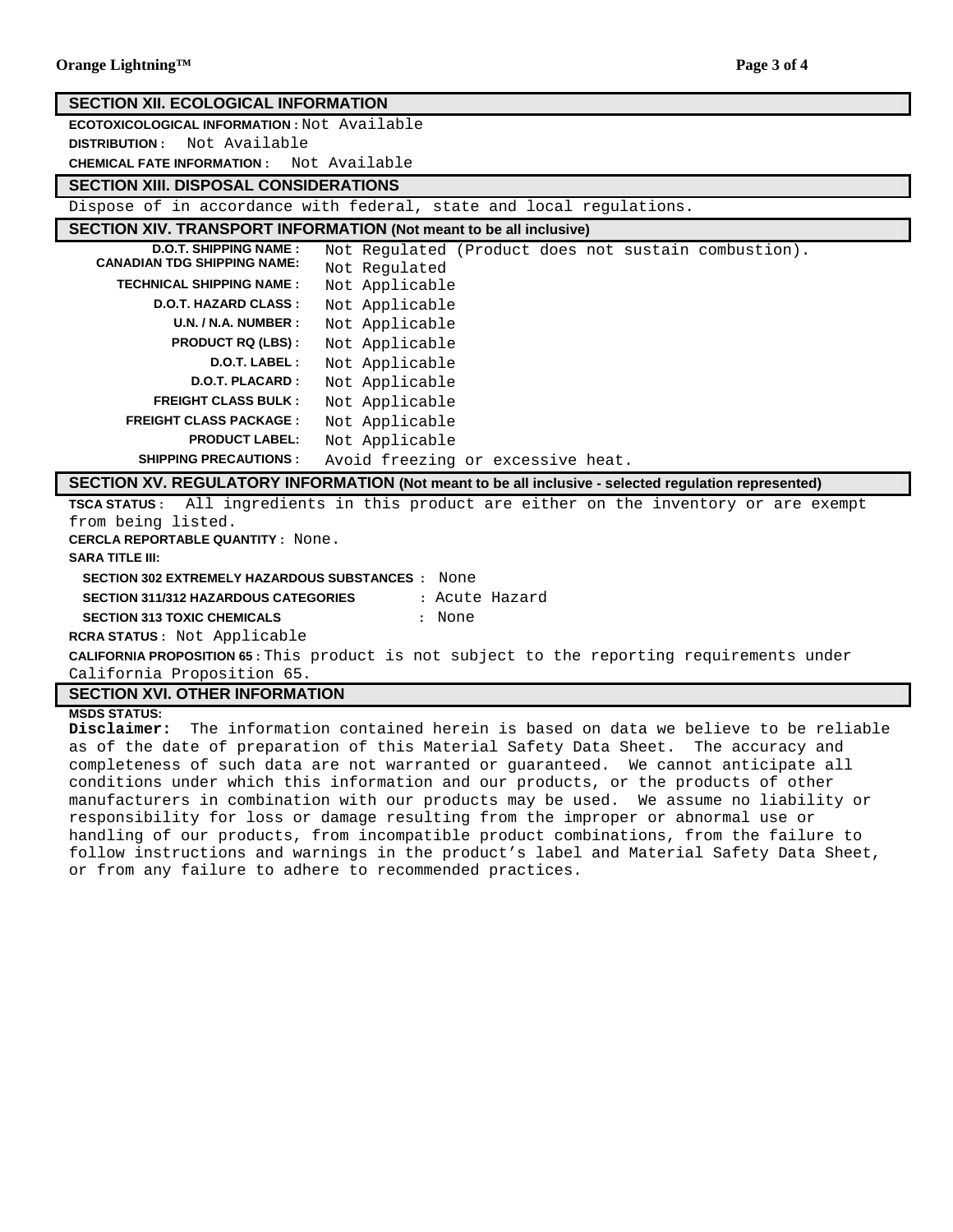| <b>SECTION XII. ECOLOGICAL INFORMATION</b>                                                        |                                                                                                      |  |
|---------------------------------------------------------------------------------------------------|------------------------------------------------------------------------------------------------------|--|
| <b>ECOTOXICOLOGICAL INFORMATION: Not Available</b>                                                |                                                                                                      |  |
| Not Available<br><b>DISTRIBUTION:</b>                                                             |                                                                                                      |  |
| <b>CHEMICAL FATE INFORMATION:</b> Not Available                                                   |                                                                                                      |  |
| <b>SECTION XIII. DISPOSAL CONSIDERATIONS</b>                                                      |                                                                                                      |  |
|                                                                                                   | Dispose of in accordance with federal, state and local regulations.                                  |  |
|                                                                                                   | <b>SECTION XIV. TRANSPORT INFORMATION (Not meant to be all inclusive)</b>                            |  |
| <b>D.O.T. SHIPPING NAME:</b>                                                                      | Not Requlated (Product does not sustain combustion).                                                 |  |
| <b>CANADIAN TDG SHIPPING NAME:</b>                                                                | Not Regulated                                                                                        |  |
| <b>TECHNICAL SHIPPING NAME:</b>                                                                   | Not Applicable                                                                                       |  |
| <b>D.O.T. HAZARD CLASS:</b>                                                                       | Not Applicable                                                                                       |  |
| U.N. / N.A. NUMBER:                                                                               | Not Applicable                                                                                       |  |
| <b>PRODUCT RQ (LBS):</b>                                                                          | Not Applicable                                                                                       |  |
| <b>D.O.T. LABEL:</b>                                                                              | Not Applicable                                                                                       |  |
| <b>D.O.T. PLACARD:</b>                                                                            | Not Applicable                                                                                       |  |
| <b>FREIGHT CLASS BULK:</b>                                                                        | Not Applicable                                                                                       |  |
| <b>FREIGHT CLASS PACKAGE:</b>                                                                     | Not Applicable                                                                                       |  |
| <b>PRODUCT LABEL:</b>                                                                             | Not Applicable                                                                                       |  |
| <b>SHIPPING PRECAUTIONS:</b>                                                                      | Avoid freezing or excessive heat.                                                                    |  |
|                                                                                                   | SECTION XV. REGULATORY INFORMATION (Not meant to be all inclusive - selected regulation represented) |  |
| <b>TSCA STATUS:</b>                                                                               | All ingredients in this product are either on the inventory or are exempt                            |  |
| from being listed.                                                                                |                                                                                                      |  |
| <b>CERCLA REPORTABLE QUANTITY: None.</b>                                                          |                                                                                                      |  |
| <b>SARA TITLE III:</b>                                                                            |                                                                                                      |  |
| <b>SECTION 302 EXTREMELY HAZARDOUS SUBSTANCES : None</b>                                          |                                                                                                      |  |
| SECTION 311/312 HAZARDOUS CATEGORIES<br>: Acute Hazard                                            |                                                                                                      |  |
| <b>SECTION 313 TOXIC CHEMICALS</b>                                                                | : None                                                                                               |  |
| <b>RCRA STATUS:</b> Not Applicable                                                                |                                                                                                      |  |
| <b>CALIFORNIA PROPOSITION 65:</b> This product is not subject to the reporting requirements under |                                                                                                      |  |

**Orange Lightning™ Page 3 of 4** 

California Proposition 65.

# **SECTION XVI. OTHER INFORMATION**

# **MSDS STATUS:**

**Disclaimer:** The information contained herein is based on data we believe to be reliable as of the date of preparation of this Material Safety Data Sheet. The accuracy and completeness of such data are not warranted or guaranteed. We cannot anticipate all conditions under which this information and our products, or the products of other manufacturers in combination with our products may be used. We assume no liability or responsibility for loss or damage resulting from the improper or abnormal use or handling of our products, from incompatible product combinations, from the failure to follow instructions and warnings in the product's label and Material Safety Data Sheet, or from any failure to adhere to recommended practices.